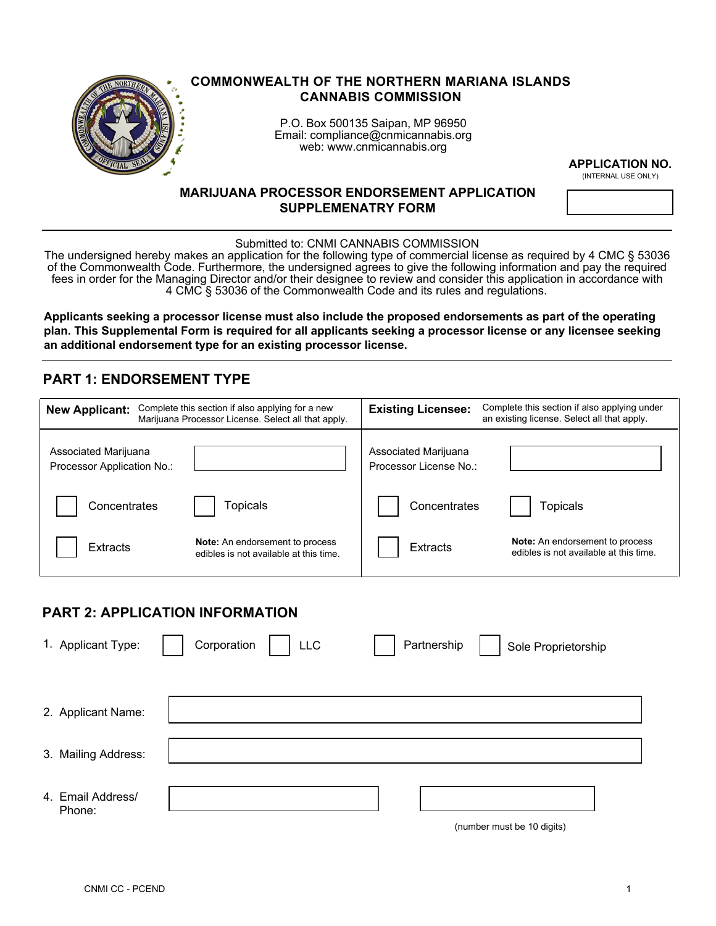

#### **COMMONWEALTH OF THE NORTHERN MARIANA ISLANDS CANNABIS COMMISSION**

P.O. Box 500135 Saipan, MP 96950 Email: compliance@cnmicannabis.org web: www.cnmicannabis.org

**APPLICATION NO.** 

(INTERNAL USE ONLY)

#### **MARIJUANA PROCESSOR ENDORSEMENT APPLICATION SUPPLEMENATRY FORM**

Submitted to: CNMI CANNABIS COMMISSION

The undersigned hereby makes an application for the following type of commercial license as required by 4 CMC § 53036 of the Commonwealth Code. Furthermore, the undersigned agrees to give the following information and pay the required fees in order for the Managing Director and/or their designee to review and consider this application in accordance with 4 CMC § 53036 of the Commonwealth Code and its rules and regulations.

**Applicants seeking a processor license must also include the proposed endorsements as part of the operating plan. This Supplemental Form is required for all applicants seeking a processor license or any licensee seeking an additional endorsement type for an existing processor license.** 

# **PART 1: ENDORSEMENT TYPE**

| <b>New Applicant:</b>                              | Complete this section if also applying for a new<br>Marijuana Processor License. Select all that apply. | <b>Existing Licensee:</b>                      | Complete this section if also applying under<br>an existing license. Select all that apply. |
|----------------------------------------------------|---------------------------------------------------------------------------------------------------------|------------------------------------------------|---------------------------------------------------------------------------------------------|
| Associated Marijuana<br>Processor Application No.: |                                                                                                         | Associated Marijuana<br>Processor License No.: |                                                                                             |
| Concentrates                                       | <b>Topicals</b>                                                                                         | Concentrates                                   | Topicals                                                                                    |
| Extracts                                           | <b>Note:</b> An endorsement to process<br>edibles is not available at this time.                        | Extracts                                       | <b>Note:</b> An endorsement to process<br>edibles is not available at this time.            |

### **PART 2: APPLICATION INFORMATION**

| 1. Applicant Type:          | Corporation<br><b>LLC</b> | Partnership<br>Sole Proprietorship |
|-----------------------------|---------------------------|------------------------------------|
|                             |                           |                                    |
| 2. Applicant Name:          |                           |                                    |
|                             |                           |                                    |
| 3. Mailing Address:         |                           |                                    |
|                             |                           |                                    |
| 4. Email Address/<br>Phone: |                           |                                    |

(number must be 10 digits)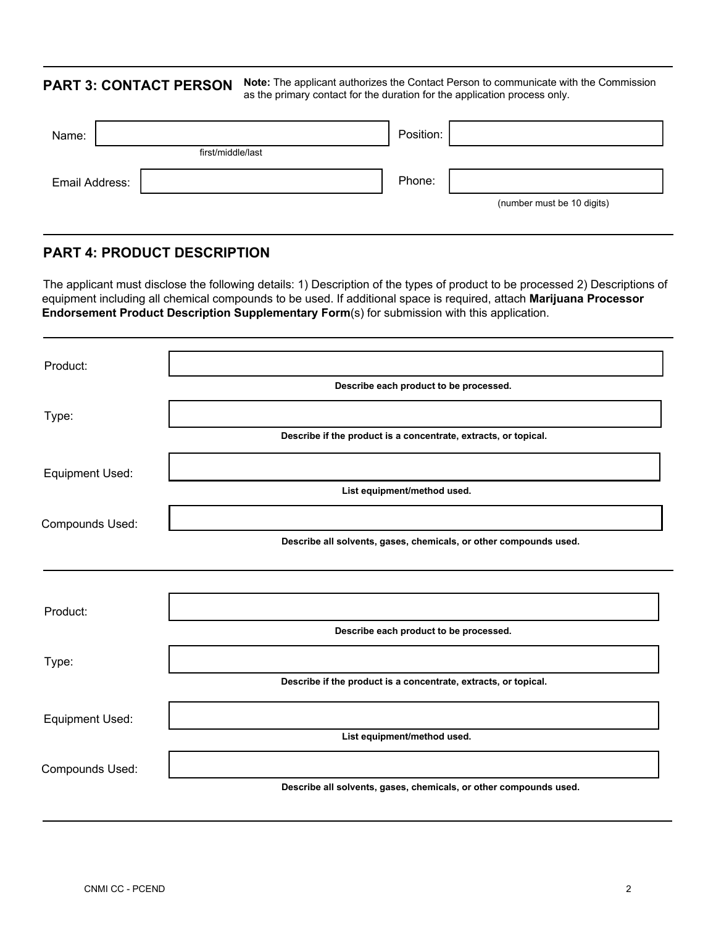#### **PART 3: CONTACT PERSON**

**Note:** The applicant authorizes the Contact Person to communicate with the Commission as the primary contact for the duration for the application process only.

| Name:          |                   | Position: |                            |
|----------------|-------------------|-----------|----------------------------|
|                | first/middle/last |           |                            |
| Email Address: |                   | Phone:    |                            |
|                |                   |           | (number must be 10 digits) |

## **PART 4: PRODUCT DESCRIPTION**

The applicant must disclose the following details: 1) Description of the types of product to be processed 2) Descriptions of equipment including all chemical compounds to be used. If additional space is required, attach **Marijuana Processor Endorsement Product Description Supplementary Form**(s) for submission with this application.

| Product:               |                                                                   |  |  |
|------------------------|-------------------------------------------------------------------|--|--|
|                        | Describe each product to be processed.                            |  |  |
| Type:                  |                                                                   |  |  |
|                        | Describe if the product is a concentrate, extracts, or topical.   |  |  |
| Equipment Used:        |                                                                   |  |  |
|                        | List equipment/method used.                                       |  |  |
| Compounds Used:        |                                                                   |  |  |
|                        | Describe all solvents, gases, chemicals, or other compounds used. |  |  |
|                        |                                                                   |  |  |
|                        |                                                                   |  |  |
| Product:               |                                                                   |  |  |
|                        | Describe each product to be processed.                            |  |  |
| Type:                  |                                                                   |  |  |
|                        | Describe if the product is a concentrate, extracts, or topical.   |  |  |
| <b>Equipment Used:</b> |                                                                   |  |  |
|                        | List equipment/method used.                                       |  |  |
| Compounds Used:        |                                                                   |  |  |
|                        | Describe all solvents, gases, chemicals, or other compounds used. |  |  |
|                        |                                                                   |  |  |